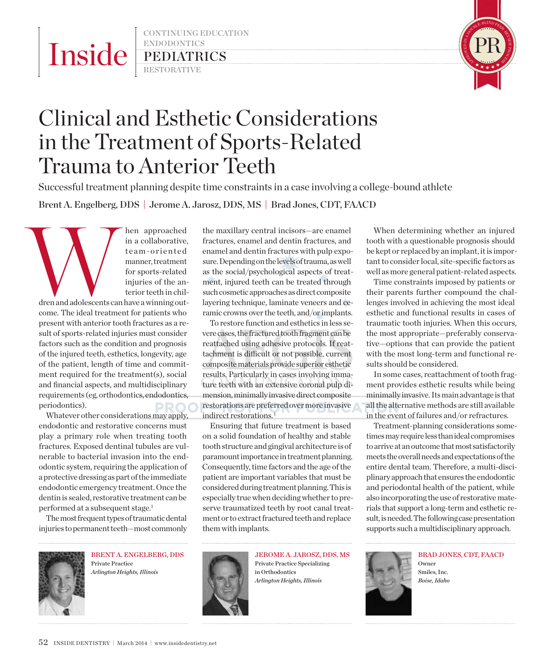

continuing education endodontics **PEDIATRICS** 



## Clinical and Esthetic Considerations<br>in the Treatment of Sports-Related United and Estrictic Considerations<br>in the Treatment of Sports-Related Trauma to Anterior Teeth  $\frac{1}{4}$

Successful treatment planning despite time constraints in a case involving a college-bound athlete

Brent A. Engelberg, DDS | Jerome A. Jarosz, DDS, MS | Brad Jones, CDT, FAACD

a a collaborative,<br>
team-oriented<br>
manner, treatment<br>
for sports-related<br>
injuries of the anterior teeth in chil-<br>
dren and adolescents can have a winning out-<br>
come The ideal tractment for nationts who in a collaborative, team-oriented manner, treatment for sports-related injuries of the anterior teeth in children and adolescents can have a winning outcome. The ideal treatment for patients who present with anterior tooth fractures as a result of sports-related injuries must consider factors such as the condition and prognosis of the injured teeth, esthetics, longevity, age of the patient, length of time and commitment required for the treatment(s), social and financial aspects, and multidisciplinary requirements (eg, orthodontics, endodontics, periodontics).

Whatever other considerations may apply, endodontic and restorative concerns must play a primary role when treating tooth fractures. Exposed dentinal tubules are vulnerable to bacterial invasion into the endodontic system, requiring the application of a protective dressing as part of the immediate endodontic emergency treatment. Once the dentin is sealed, restorative treatment can be performed at a subsequent stage.<sup>1</sup>

The most frequent types of traumatic dental injuries to permanent teeth—most commonly



Brent A. Engelberg, DDS Private Practice *Arlington Heights, Illinois*

the maxillary central incisors—are enamel fractures, enamel and dentin fractures, and enamel and dentin fractures with pulp exposure. Depending on the levels of trauma, as well as the social/psychological aspects of treatment, injured teeth can be treated through such cosmetic approaches as direct composite layering technique, laminate veneers and ceramic crowns over the teeth, and/or implants.

To restore function and esthetics in less severe cases, the fractured tooth fragment can be reattached using adhesive protocols. If reattachment is difficult or not possible, current composite materials provide superior esthetic results. Particularly in cases involving immature teeth with an extensive coronal pulp dimension, minimally invasive direct composite restorations are preferred over more invasive indirect restorations.<sup>1</sup>

Ensuring that future treatment is based on a solid foundation of healthy and stable tooth structure and gingival architecture is of paramount importance in treatment planning. Consequently, time factors and the age of the patient are important variables that must be considered during treatment planning. This is especially true when deciding whether to preserve traumatized teeth by root canal treatment or to extract fractured teeth and replace them with implants.

> Jerome A. Jarosz, DDS, MS Private Practice Specializing in Orthodontics *Arlington Heights, Illinois*

When determining whether an injured tooth with a questionable prognosis should be kept or replaced by an implant, it is important to consider local, site-specific factors as well as more general patient-related aspects.

en de la provincia de la provincia de la provincia de la provincia de la provincia de la provincia de la provi<br>Personal de la provincia de la provincia de la provincia de la provincia de la provincia de la provincia de la APPROVED IN A DOUBLE-BLIND PEER<br>APPROVED IN A DOUBLE-BLIND PEER-REVIEW PROCESS.<br>APPROVING PEER-REVIEW PROCESS.

 $\overline{\phantom{a}}$ 

S

 $\ddot{\phantom{0}}$ 

PR

A

<sup>P</sup>ROVE<sup>D</sup> <sup>I</sup><sup>N</sup> <sup>A</sup> <sup>D</sup>OUBLE-BLIN<sup>D</sup> <sup>P</sup>EER-REV<sup>I</sup><sup>E</sup><sup>W</sup> <sup>P</sup>ROCESS

<sup>P</sup>ROVE<sup>D</sup> <sup>I</sup><sup>N</sup> <sup>A</sup> <sup>D</sup>OUBLE-BLIN<sup>D</sup> <sup>P</sup>EER-REV<sup>I</sup><sup>E</sup><sup>W</sup> <sup>P</sup>ROCESS

Time constraints imposed by patients or their parents further compound the challenges involved in achieving the most ideal esthetic and functional results in cases of traumatic tooth injuries. When this occurs, the most appropriate—preferably conservative—options that can provide the patient with the most long-term and functional results should be considered.

In some cases, reattachment of tooth fragment provides esthetic results while being minimally invasive. Its main advantage is that all the alternative methods are still available in the event of failures and/or refractures.

Treatment-planning considerations sometimes may require less than ideal compromises to arrive at an outcome that most satisfactorily meets the overall needs and expectations of the entire dental team. Therefore, a multi-disciplinary approach that ensures the endodontic and periodontal health of the patient, while also incorporating the use of restorative materials that support a long-term and esthetic result, is needed. The following case presentation supports such a multidisciplinary approach.



Brad Jones, CDT, FAACD Owner Smiles, Inc.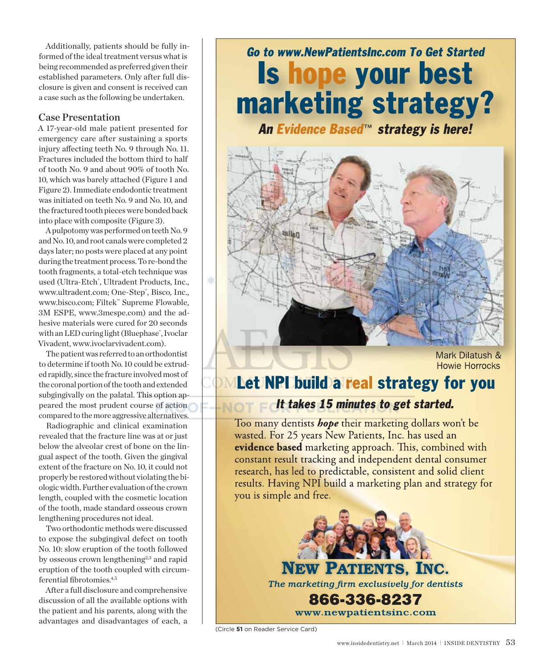Additionally, patients should be fully informed of the ideal treatment versus what is being recommended as preferred given their established parameters. Only after full disclosure is given and consent is received can a case such as the following be undertaken.

#### Case Presentation

A 17-year-old male patient presented for emergency care after sustaining a sports injury affecting teeth No. 9 through No. 11. Fractures included the bottom third to half of tooth No. 9 and about 90% of tooth No. 10, which was barely attached (Figure 1 and Figure 2). Immediate endodontic treatment was initiated on teeth No. 9 and No. 10, and the fractured tooth pieces were bonded back into place with composite (Figure 3).

A pulpotomy was performed on teeth No. 9 and No. 10, and root canals were completed 2 days later; no posts were placed at any point during the treatment process. To re-bond the tooth fragments, a total-etch technique was used (Ultra-Etch<sup>®</sup>, Ultradent Products, Inc., www.ultradent.com; One-Step<sup>®</sup>, Bisco, Inc., www.bisco.com; Filtek™ Supreme Flowable, 3M ESPE, www.3mespe.com) and the adhesive materials were cured for 20 seconds with an LED curing light (Bluephase®, Ivoclar Vivadent, www.ivoclarvivadent.com).

The patient was referred to an orthodontist to determine if tooth No. 10 could be extruded rapidly, since the fracture involved most of the coronal portion of the tooth and extended subgingivally on the palatal. This option appeared the most prudent course of action compared to the more aggressive alternatives.

Radiographic and clinical examination revealed that the fracture line was at or just below the alveolar crest of bone on the lingual aspect of the tooth. Given the gingival extent of the fracture on No. 10, it could not properly be restored without violating the biologic width. Further evaluation of the crown length, coupled with the cosmetic location of the tooth, made standard osseous crown lengthening procedures not ideal.

Two orthodontic methods were discussed to expose the subgingival defect on tooth No. 10: slow eruption of the tooth followed by osseous crown lengthening<sup>2,3</sup> and rapid eruption of the tooth coupled with circumferential fibrotomies.4,5

After a full disclosure and comprehensive discussion of all the available options with the patient and his parents, along with the advantages and disadvantages of each, a

# **Go to www.NewPatientsInc.com To Get Started** Is hope your best marketing strategy?

An Evidence Based™ strategy is here!



Mark Dilatush & **Howie Horrocks** 

## Let NPL build a real strategy for you

### It takes 15 minutes to get started.

Too many dentists **hope** their marketing dollars won't be wasted. For 25 years New Patients, Inc. has used an evidence based marketing approach. This, combined with constant result tracking and independent dental consumer research, has led to predictable, consistent and solid client results. Having NPI build a marketing plan and strategy for you is simple and free.



(Circle **51** on Reader Service Card)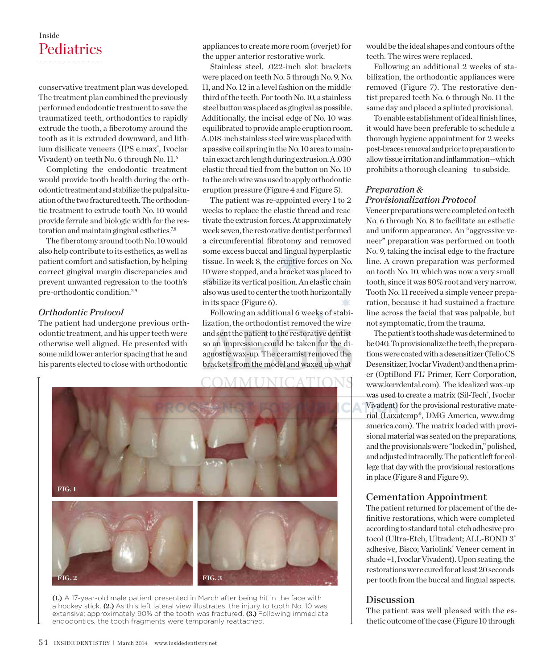## **Pediatrics** Inside

conservative treatment plan was developed. The treatment plan combined the previously performed endodontic treatment to save the traumatized teeth, orthodontics to rapidly extrude the tooth, a fiberotomy around the tooth as it is extruded downward, and lithium disilicate veneers (IPS e.max<sup>®</sup>, Ivoclar Vivadent) on teeth No. 6 through No. 11.6

Completing the endodontic treatment would provide tooth health during the orthodontic treatment and stabilize the pulpal situation of the two fractured teeth. The orthodontic treatment to extrude tooth No. 10 would provide ferrule and biologic width for the restoration and maintain gingival esthetics.7,8

The fiberotomy around tooth No. 10 would also help contribute to its esthetics, as well as patient comfort and satisfaction, by helping correct gingival margin discrepancies and prevent unwanted regression to the tooth's pre-orthodontic condition.2,9

#### *Orthodontic Protocol*

The patient had undergone previous orthodontic treatment, and his upper teeth were otherwise well aligned. He presented with some mild lower anterior spacing that he and his parents elected to close with orthodontic

appliances to create more room (overjet) for the upper anterior restorative work.

Stainless steel, .022-inch slot brackets were placed on teeth No. 5 through No. 9, No. 11, and No. 12 in a level fashion on the middle third of the teeth. For tooth No. 10, a stainless steel button was placed as gingival as possible. Additionally, the incisal edge of No. 10 was equilibrated to provide ample eruption room. A .018-inch stainless steel wire was placed with a passive coil spring in the No. 10 area to maintain exact arch length during extrusion. A .030 elastic thread tied from the button on No. 10 to the arch wire was used to apply orthodontic eruption pressure (Figure 4 and Figure 5).

The patient was re-appointed every 1 to 2 weeks to replace the elastic thread and reactivate the extrusion forces. At approximately week seven, the restorative dentist performed a circumferential fibrotomy and removed some excess buccal and lingual hyperplastic tissue. In week 8, the eruptive forces on No. 10 were stopped, and a bracket was placed to stabilize its vertical position. An elastic chain also was used to center the tooth horizontally in its space (Figure 6).

Following an additional 6 weeks of stabilization, the orthodontist removed the wire and sent the patient to the restorative dentist so an impression could be taken for the diagnostic wax-up. The ceramist removed the brackets from the model and waxed up what



**(1.)** A 17-year-old male patient presented in March after being hit in the face with a hockey stick. **(2.)** As this left lateral view illustrates, the injury to tooth No. 10 was extensive; approximately 90% of the tooth was fractured. **(3.)** Following immediate endodontics, the tooth fragments were temporarily reattached.

would be the ideal shapes and contours of the teeth. The wires were replaced.

Following an additional 2 weeks of stabilization, the orthodontic appliances were removed (Figure 7). The restorative dentist prepared teeth No. 6 through No. 11 the same day and placed a splinted provisional.

To enable establishment of ideal finish lines, it would have been preferable to schedule a thorough hygiene appointment for 2 weeks post-braces removal and prior to preparation to allow tissue irritation and inflammation—which prohibits a thorough cleaning—to subside.

#### *Preparation & Provisionalization Protocol*

Veneer preparations were completed on teeth No. 6 through No. 8 to facilitate an esthetic and uniform appearance. An "aggressive veneer" preparation was performed on tooth No. 9, taking the incisal edge to the fracture line. A crown preparation was performed on tooth No. 10, which was now a very small tooth, since it was 80% root and very narrow. Tooth No. 11 received a simple veneer preparation, because it had sustained a fracture line across the facial that was palpable, but not symptomatic, from the trauma.

The patient's tooth shade was determined to be 040. To provisionalize the teeth, the preparations were coated with a desensitizer (Telio CS Desensitizer, Ivoclar Vivadent) and then a primer (OptiBond FL® Primer, Kerr Corporation, www.kerrdental.com). The idealized wax-up was used to create a matrix (Sil-Tech<sup>®</sup>, Ivoclar Vivadent) for the provisional restorative material (Luxatemp®, DMG America, www.dmgamerica.com). The matrix loaded with provisional material was seated on the preparations, and the provisionals were "locked in," polished, and adjusted intraorally. The patient left for college that day with the provisional restorations in place (Figure 8 and Figure 9).

#### Cementation Appointment

The patient returned for placement of the definitive restorations, which were completed according to standard total-etch adhesive protocol (Ultra-Etch, Ultradent; ALL-BOND 3<sup>®</sup> adhesive, Bisco; Variolink® Veneer cement in shade +1, Ivoclar Vivadent). Upon seating, the restorations were cured for at least 20 seconds per tooth from the buccal and lingual aspects.

#### Discussion

The patient was well pleased with the esthetic outcome of the case (Figure 10 through